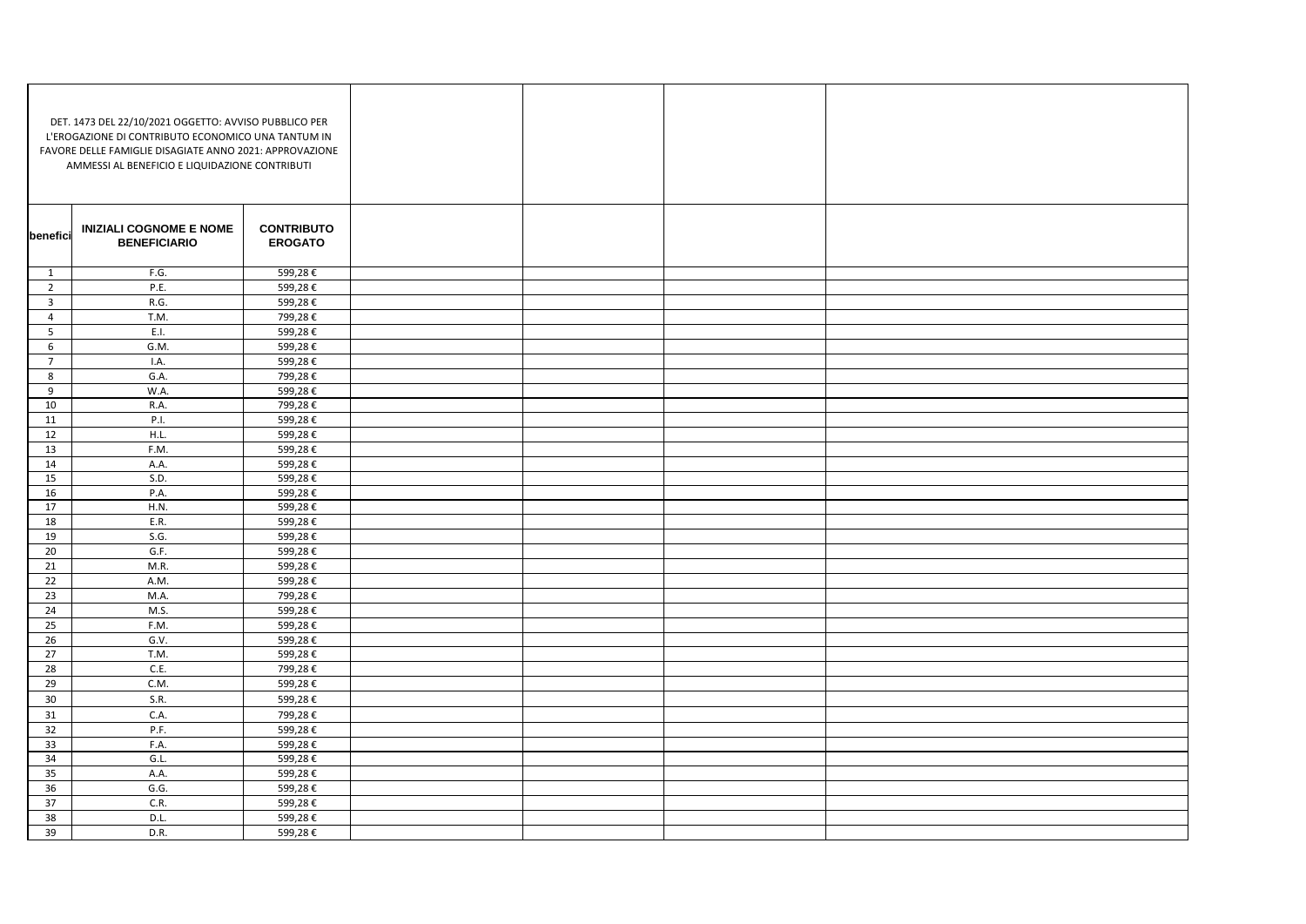| DET. 1473 DEL 22/10/2021 OGGETTO: AVVISO PUBBLICO PER<br>L'EROGAZIONE DI CONTRIBUTO ECONOMICO UNA TANTUM IN<br>FAVORE DELLE FAMIGLIE DISAGIATE ANNO 2021: APPROVAZIONE<br>AMMESSI AL BENEFICIO E LIQUIDAZIONE CONTRIBUTI |                                                       |                                     |  |  |
|--------------------------------------------------------------------------------------------------------------------------------------------------------------------------------------------------------------------------|-------------------------------------------------------|-------------------------------------|--|--|
| benefici                                                                                                                                                                                                                 | <b>INIZIALI COGNOME E NOME</b><br><b>BENEFICIARIO</b> | <b>CONTRIBUTO</b><br><b>EROGATO</b> |  |  |
| 1                                                                                                                                                                                                                        | F.G.                                                  | 599,28€                             |  |  |
| $\overline{2}$                                                                                                                                                                                                           | P.E.                                                  | 599,28€                             |  |  |
| $\overline{3}$                                                                                                                                                                                                           | R.G.                                                  | 599,28€                             |  |  |
| $\overline{4}$                                                                                                                                                                                                           | T.M.                                                  | 799,28€                             |  |  |
| $5\overline{)}$                                                                                                                                                                                                          | E.I.                                                  | 599,28€                             |  |  |
| 6                                                                                                                                                                                                                        | G.M.                                                  | 599,28€                             |  |  |
| $\overline{7}$                                                                                                                                                                                                           | I.A.                                                  | 599,28€                             |  |  |
| 8                                                                                                                                                                                                                        | G.A.                                                  | 799,28€                             |  |  |
| 9                                                                                                                                                                                                                        | W.A.                                                  | 599,28€                             |  |  |
| 10                                                                                                                                                                                                                       | R.A.                                                  | 799,28€                             |  |  |
| 11                                                                                                                                                                                                                       | P.I.                                                  | 599,28€                             |  |  |
| 12                                                                                                                                                                                                                       | H.L.                                                  | 599,28€                             |  |  |
| 13                                                                                                                                                                                                                       | F.M.                                                  | 599,28€                             |  |  |
| 14                                                                                                                                                                                                                       | A.A.                                                  | 599,28€                             |  |  |
| 15                                                                                                                                                                                                                       | S.D.                                                  | 599,28€                             |  |  |
| 16                                                                                                                                                                                                                       | P.A.                                                  | 599,28€                             |  |  |
| 17                                                                                                                                                                                                                       | H.N.                                                  | 599,28€                             |  |  |
| 18                                                                                                                                                                                                                       | E.R.                                                  | 599,28€                             |  |  |
| 19                                                                                                                                                                                                                       | S.G.                                                  | 599,28€                             |  |  |
| $20\degree$                                                                                                                                                                                                              | G.F.                                                  | 599,28€                             |  |  |
| 21                                                                                                                                                                                                                       | M.R.                                                  | 599,28€                             |  |  |
| 22                                                                                                                                                                                                                       | A.M.                                                  | 599,28€                             |  |  |
| 23                                                                                                                                                                                                                       | M.A.                                                  | 799,28€                             |  |  |
| 24                                                                                                                                                                                                                       | M.S.                                                  | 599,28€                             |  |  |
| 25                                                                                                                                                                                                                       | F.M.                                                  | 599,28€                             |  |  |
| 26                                                                                                                                                                                                                       | G.V.                                                  | 599,28€                             |  |  |
| 27                                                                                                                                                                                                                       | T.M.                                                  | 599,28€                             |  |  |
| 28                                                                                                                                                                                                                       | C.E.                                                  | 799,28€                             |  |  |
| 29                                                                                                                                                                                                                       | C.M.                                                  | 599,28€                             |  |  |
| 30                                                                                                                                                                                                                       | S.R.                                                  | 599,28€                             |  |  |
| 31                                                                                                                                                                                                                       | C.A.                                                  | 799,28€                             |  |  |
| 32                                                                                                                                                                                                                       | P.F.                                                  | 599,28€                             |  |  |
| 33                                                                                                                                                                                                                       | F.A.                                                  | 599,28€                             |  |  |
| 34                                                                                                                                                                                                                       | G.L.                                                  | 599,28€                             |  |  |
| 35                                                                                                                                                                                                                       | A.A.                                                  | 599,28€                             |  |  |
| 36                                                                                                                                                                                                                       | G.G.                                                  | 599,28€                             |  |  |
| 37                                                                                                                                                                                                                       | C.R.                                                  | 599,28€                             |  |  |
| 38                                                                                                                                                                                                                       | D.L.                                                  | 599,28€                             |  |  |
| 39                                                                                                                                                                                                                       | D.R.                                                  | 599,28€                             |  |  |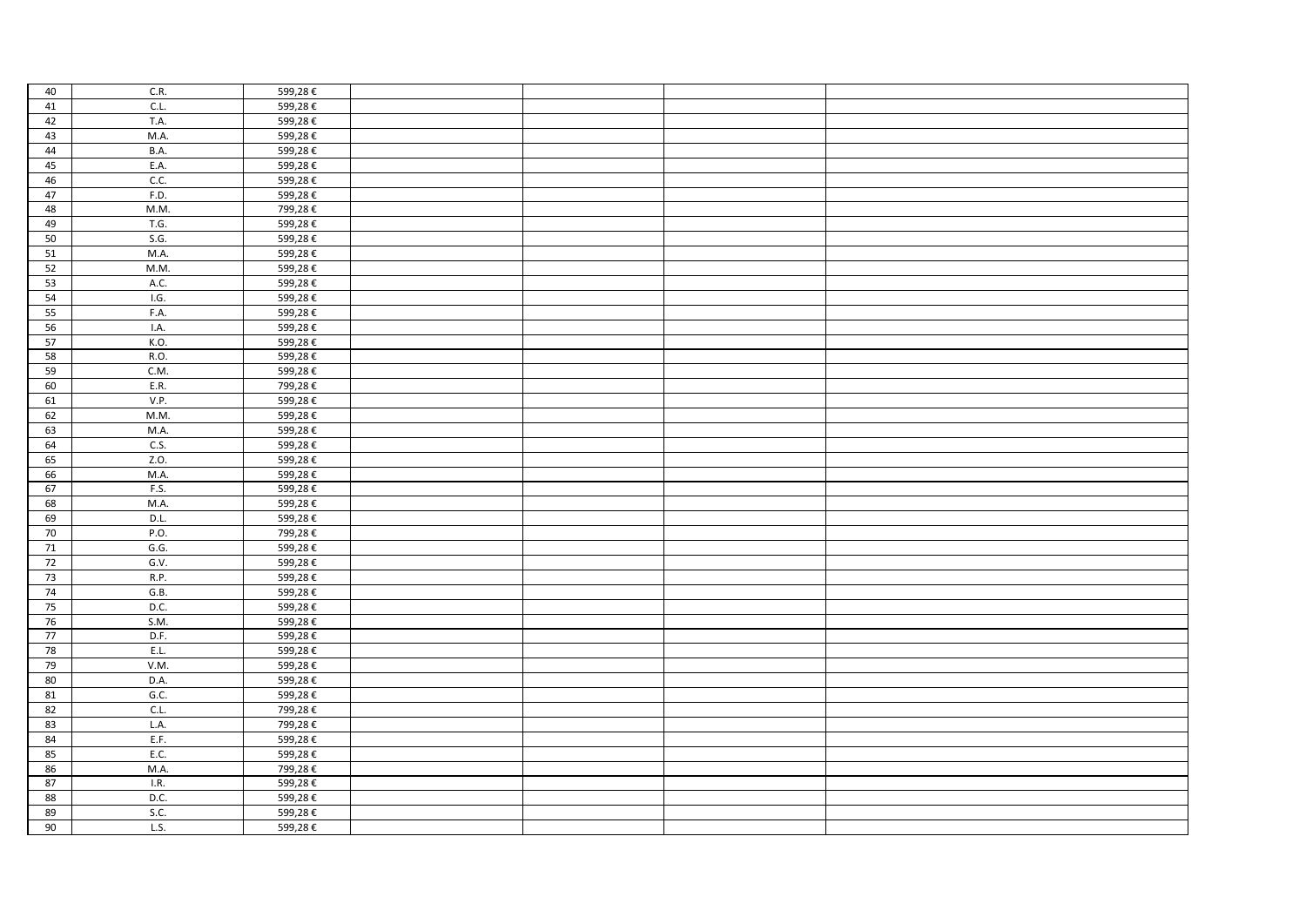| 40     | C.R.        | 599,28€ |  |  |
|--------|-------------|---------|--|--|
| 41     | CL          | 599,28€ |  |  |
| 42     | T.A.        | 599,28€ |  |  |
| 43     | M.A.        | 599,28€ |  |  |
| 44     | <b>B.A.</b> | 599,28€ |  |  |
| 45     | E.A.        | 599,28€ |  |  |
| 46     | C.C.        | 599,28€ |  |  |
| 47     | F.D.        | 599,28€ |  |  |
| 48     | M.M.        | 799,28€ |  |  |
| 49     | T.G.        | 599,28€ |  |  |
| 50     | S.G.        | 599,28€ |  |  |
| 51     | M.A.        | 599,28€ |  |  |
| 52     | M.M.        | 599,28€ |  |  |
| 53     | A.C.        | 599,28€ |  |  |
| 54     | I.G.        | 599,28€ |  |  |
| 55     | F.A.        | 599,28€ |  |  |
| 56     | I.A.        | 599,28€ |  |  |
| 57     | K.O.        | 599,28€ |  |  |
| 58     | R.O.        | 599,28€ |  |  |
| 59     | C.M.        | 599,28€ |  |  |
| 60     | E.R.        | 799,28€ |  |  |
| 61     | V.P.        | 599,28€ |  |  |
| 62     | M.M.        | 599,28€ |  |  |
| 63     | M.A.        | 599,28€ |  |  |
| 64     | C.S.        | 599,28€ |  |  |
| 65     | Z.O.        | 599,28€ |  |  |
| 66     | M.A.        | 599,28€ |  |  |
| 67     | F.S.        | 599,28€ |  |  |
| 68     | M.A.        | 599,28€ |  |  |
| 69     | D.L.        | 599,28€ |  |  |
| 70     | P.O.        | 799,28€ |  |  |
| 71     | G.G.        | 599,28€ |  |  |
| 72     | G.V.        | 599,28€ |  |  |
| $73\,$ | R.P.        | 599,28€ |  |  |
| 74     | G.B.        | 599,28€ |  |  |
| $75\,$ | D.C.        | 599,28€ |  |  |
| 76     | S.M.        | 599,28€ |  |  |
| 77     | D.F.        | 599,28€ |  |  |
| 78     | E.L.        | 599,28€ |  |  |
| 79     | V.M.        | 599,28€ |  |  |
| $80\,$ | D.A.        | 599,28€ |  |  |
| 81     | G.C.        | 599,28€ |  |  |
| 82     | CL.         | 799,28€ |  |  |
| 83     | L.A.        | 799,28€ |  |  |
| 84     | E.F.        | 599,28€ |  |  |
| 85     | E.C.        | 599,28€ |  |  |
| 86     | M.A.        | 799,28€ |  |  |
| 87     | I.R.        | 599,28€ |  |  |
| 88     | D.C.        | 599,28€ |  |  |
| 89     | S.C.        | 599,28€ |  |  |
| 90     | L.S.        | 599,28€ |  |  |
|        |             |         |  |  |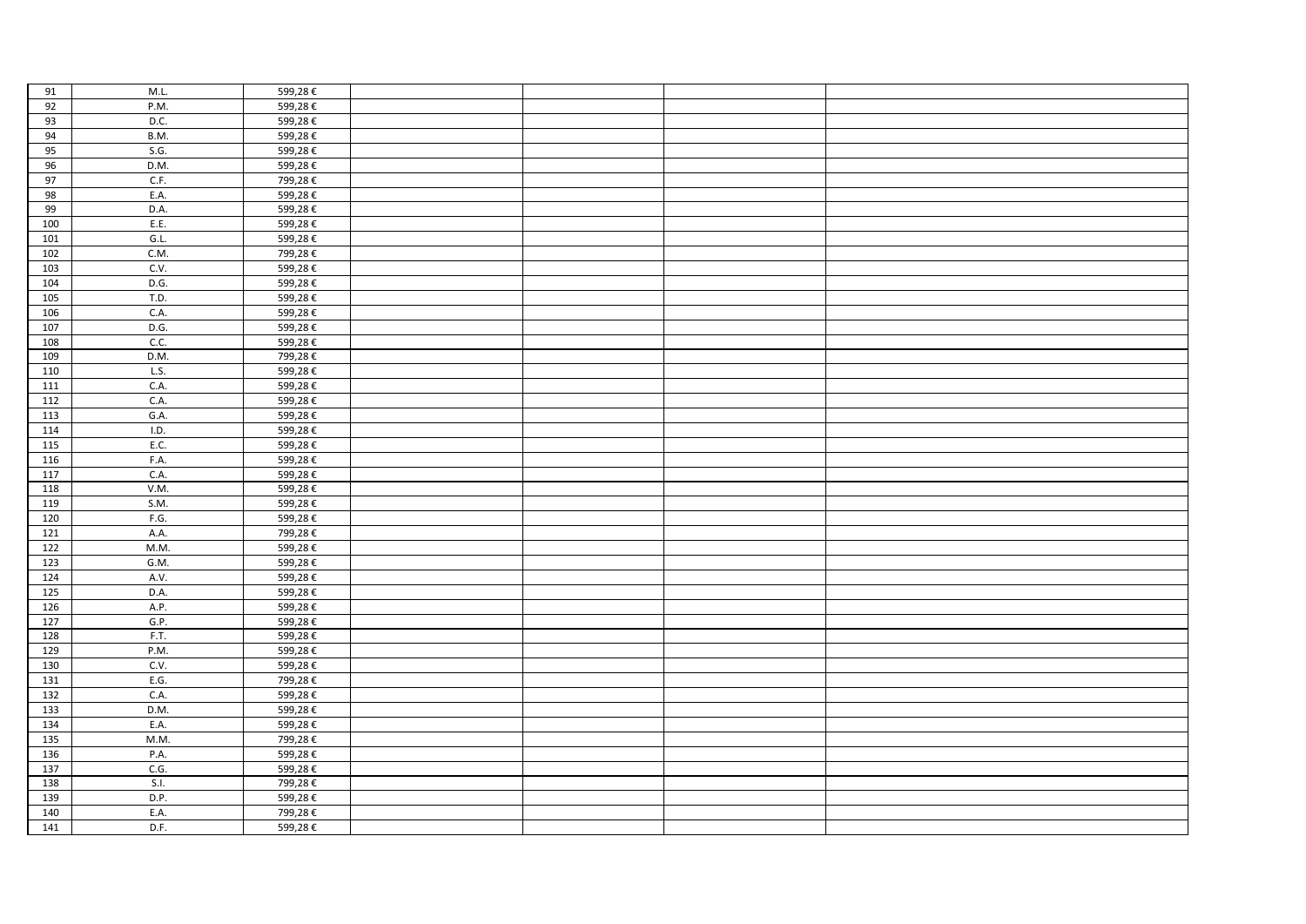| 91               | M.L. | 599,28€ |  |  |
|------------------|------|---------|--|--|
| 92               | P.M. | 599,28€ |  |  |
| 93               | D.C. | 599,28€ |  |  |
| 94               | B.M. | 599,28€ |  |  |
| 95               | S.G. | 599,28€ |  |  |
| 96               | D.M. | 599,28€ |  |  |
| 97               | C.F. | 799,28€ |  |  |
| 98               | E.A. | 599,28€ |  |  |
| 99               | D.A. | 599,28€ |  |  |
| 100              | E.E. | 599,28€ |  |  |
| 101              | G.L. | 599,28€ |  |  |
| 102              | C.M. | 799,28€ |  |  |
| 103              | C.V. | 599,28€ |  |  |
| 104              | D.G. | 599,28€ |  |  |
| 105              | T.D. | 599,28€ |  |  |
| 106              | C.A. | 599,28€ |  |  |
| 107              | D.G. | 599,28€ |  |  |
| 108              | C.C. | 599,28€ |  |  |
| 109              | D.M. | 799,28€ |  |  |
| 110              | L.S. | 599,28€ |  |  |
| 111              | C.A. | 599,28€ |  |  |
| 112              | C.A. | 599,28€ |  |  |
| 113              | G.A. | 599,28€ |  |  |
| 114              | I.D. | 599,28€ |  |  |
| 115              | E.C. | 599,28€ |  |  |
| 116              | F.A. | 599,28€ |  |  |
| 117              | C.A. | 599,28€ |  |  |
| 118              | V.M. | 599,28€ |  |  |
| 119              | S.M. | 599,28€ |  |  |
| 120              | F.G. | 599,28€ |  |  |
| $\overline{121}$ | A.A. | 799,28€ |  |  |
| 122              | M.M. | 599,28€ |  |  |
| 123              | G.M. | 599,28€ |  |  |
| 124              | A.V. | 599,28€ |  |  |
| 125              | D.A. | 599,28€ |  |  |
| 126              | A.P. | 599,28€ |  |  |
| 127              | G.P. | 599,28€ |  |  |
| 128              | F.T. | 599,28€ |  |  |
| 129              | P.M. | 599,28€ |  |  |
| 130              | C.V. | 599,28€ |  |  |
| 131              | E.G. | 799,28€ |  |  |
| 132              | C.A. | 599,28€ |  |  |
| 133              | D.M. | 599,28€ |  |  |
| 134              | E.A. | 599,28€ |  |  |
| 135              | M.M. | 799,28€ |  |  |
| 136              | P.A. | 599,28€ |  |  |
| 137              | C.G. | 599,28€ |  |  |
| 138              | S.I. | 799,28€ |  |  |
| 139              | D.P. | 599,28€ |  |  |
| 140              | E.A. | 799,28€ |  |  |
| 141              | D.F. | 599,28€ |  |  |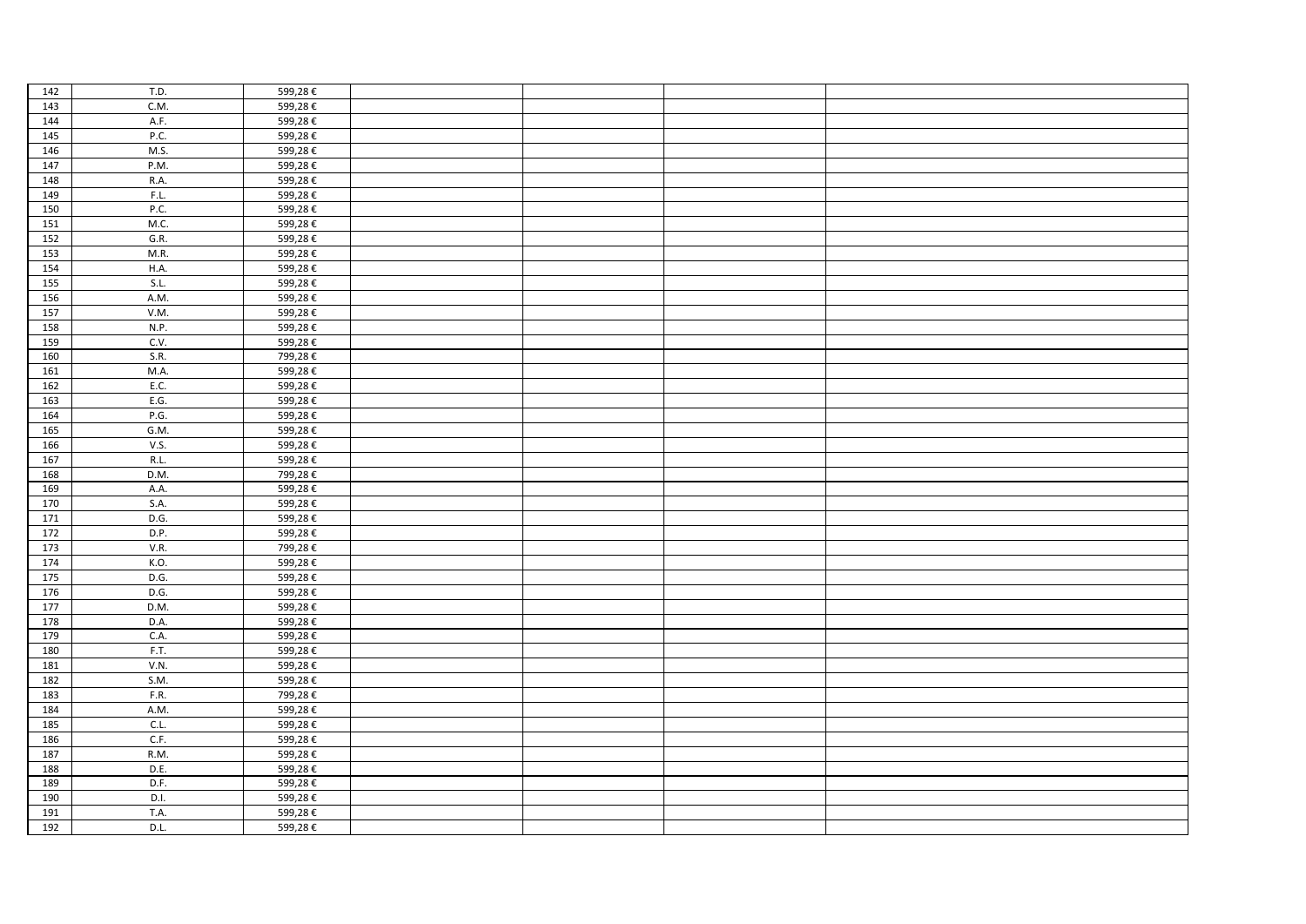| 142 | T.D. | 599,28€ |  |  |
|-----|------|---------|--|--|
| 143 | C.M. | 599,28€ |  |  |
| 144 | A.F. | 599,28€ |  |  |
| 145 | P.C. | 599,28€ |  |  |
| 146 | M.S. | 599,28€ |  |  |
| 147 | P.M. | 599,28€ |  |  |
| 148 | R.A. | 599,28€ |  |  |
| 149 | F.L. | 599,28€ |  |  |
| 150 | P.C. | 599,28€ |  |  |
| 151 | M.C. | 599,28€ |  |  |
| 152 | G.R. | 599,28€ |  |  |
| 153 | M.R. | 599,28€ |  |  |
| 154 | H.A. | 599,28€ |  |  |
| 155 | S.L. | 599,28€ |  |  |
| 156 | A.M. | 599,28€ |  |  |
| 157 | V.M. | 599,28€ |  |  |
| 158 | N.P. | 599,28€ |  |  |
| 159 | C.V. | 599,28€ |  |  |
| 160 | S.R. | 799,28€ |  |  |
| 161 | M.A. | 599,28€ |  |  |
| 162 | E.C. | 599,28€ |  |  |
| 163 | E.G. | 599,28€ |  |  |
| 164 | P.G. | 599,28€ |  |  |
| 165 | GM.  | 599,28€ |  |  |
| 166 | V.S. | 599,28€ |  |  |
| 167 | R.L. | 599,28€ |  |  |
| 168 | D.M. | 799,28€ |  |  |
| 169 | A.A. | 599,28€ |  |  |
| 170 | S.A. | 599,28€ |  |  |
| 171 | D.G. | 599,28€ |  |  |
| 172 | D.P. | 599,28€ |  |  |
| 173 | V.R. | 799,28€ |  |  |
| 174 | K.O. | 599,28€ |  |  |
| 175 | D.G. | 599,28€ |  |  |
| 176 | D.G. | 599,28€ |  |  |
| 177 | D.M. | 599,28€ |  |  |
| 178 | D.A. | 599,28€ |  |  |
| 179 | C.A. | 599,28€ |  |  |
| 180 | F.T. | 599,28€ |  |  |
| 181 | V.N. | 599,28€ |  |  |
| 182 | S.M. | 599,28€ |  |  |
| 183 | F.R. | 799,28€ |  |  |
| 184 | A.M. | 599,28€ |  |  |
| 185 | C.L. | 599,28€ |  |  |
| 186 | C.F. | 599,28€ |  |  |
| 187 | R.M. | 599,28€ |  |  |
| 188 | D.E. | 599,28€ |  |  |
| 189 | D.F. | 599,28€ |  |  |
| 190 | D.I. | 599,28€ |  |  |
| 191 | T.A. | 599,28€ |  |  |
| 192 | D.L. | 599,28€ |  |  |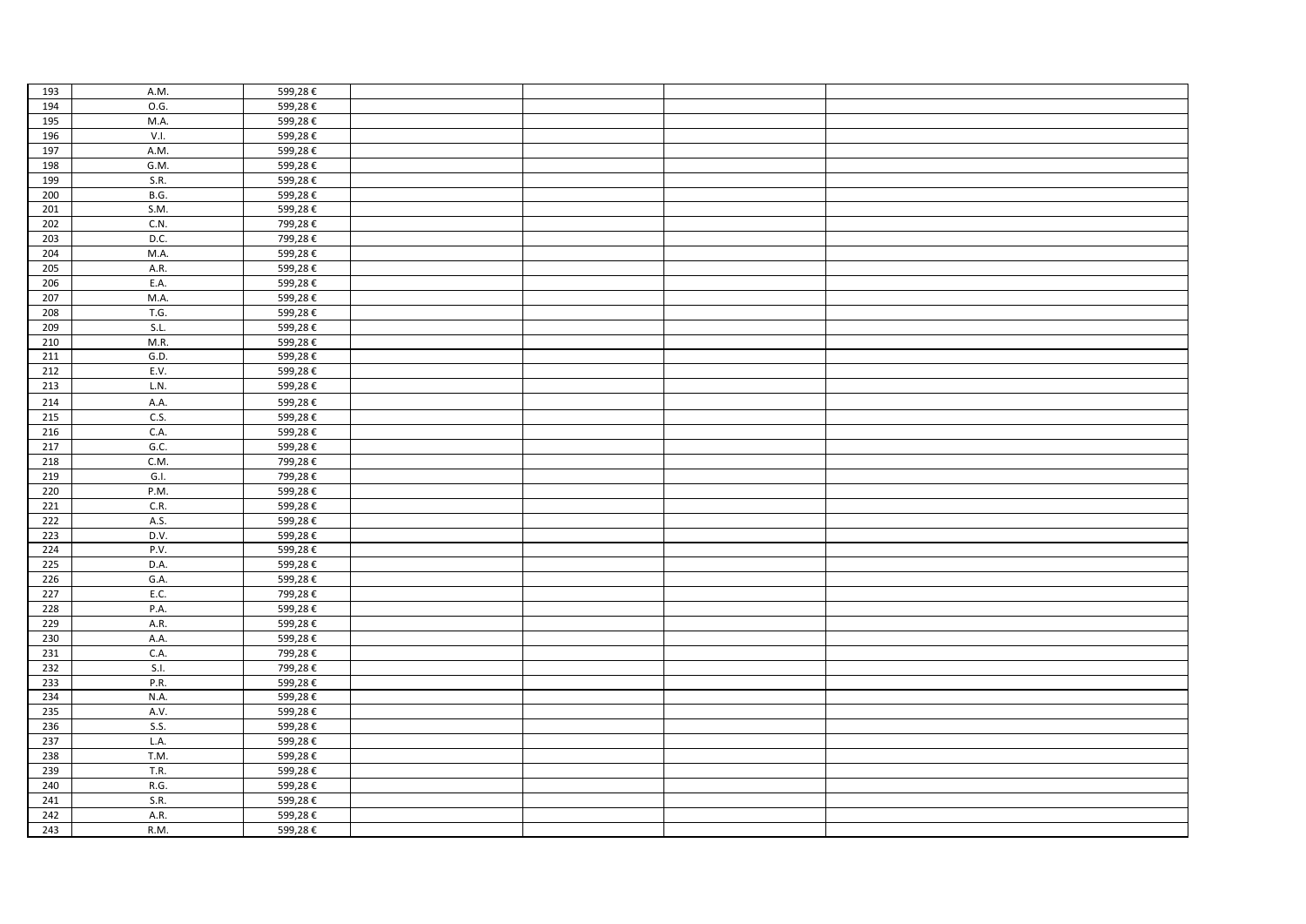| 193 | A.M.        | 599,28€ |  |  |
|-----|-------------|---------|--|--|
| 194 | 0.G.        | 599,28€ |  |  |
| 195 | M.A.        | 599,28€ |  |  |
| 196 | V.I.        | 599,28€ |  |  |
| 197 | A.M.        | 599,28€ |  |  |
| 198 | G.M.        | 599,28€ |  |  |
| 199 | S.R.        | 599,28€ |  |  |
| 200 | <b>B.G.</b> | 599,28€ |  |  |
| 201 | S.M.        | 599,28€ |  |  |
| 202 | C.N.        | 799,28€ |  |  |
| 203 | D.C.        | 799,28€ |  |  |
| 204 | M.A.        | 599,28€ |  |  |
| 205 | A.R.        | 599,28€ |  |  |
| 206 | E.A.        | 599,28€ |  |  |
| 207 | M.A.        | 599,28€ |  |  |
| 208 | T.G.        | 599,28€ |  |  |
| 209 | S.L.        | 599,28€ |  |  |
| 210 | M.R.        | 599,28€ |  |  |
| 211 | G.D.        | 599,28€ |  |  |
| 212 | E.V.        | 599,28€ |  |  |
| 213 | L.N.        | 599,28€ |  |  |
| 214 | A.A.        | 599,28€ |  |  |
|     |             |         |  |  |
| 215 | C.S.        | 599,28€ |  |  |
| 216 | C.A.        | 599,28€ |  |  |
| 217 | G.C.        | 599,28€ |  |  |
| 218 | C.M.        | 799,28€ |  |  |
| 219 | G.I.        | 799,28€ |  |  |
| 220 | P.M.        | 599,28€ |  |  |
| 221 | C.R.        | 599,28€ |  |  |
| 222 | A.S.        | 599,28€ |  |  |
| 223 | D.V.        | 599,28€ |  |  |
| 224 | P.V.        | 599,28€ |  |  |
| 225 | D.A.        | 599,28€ |  |  |
| 226 | G.A.        | 599,28€ |  |  |
| 227 | E.C.        | 799,28€ |  |  |
| 228 | P.A.        | 599,28€ |  |  |
| 229 | A.R.        | 599,28€ |  |  |
| 230 | A.A.        | 599,28€ |  |  |
| 231 | C.A.        | 799,28€ |  |  |
| 232 | S.I.        | 799,28€ |  |  |
| 233 | P.R.        | 599,28€ |  |  |
| 234 | N.A.        | 599,28€ |  |  |
| 235 | A.V.        | 599,28€ |  |  |
| 236 | S.S.        | 599,28€ |  |  |
| 237 | L.A.        | 599,28€ |  |  |
| 238 | T.M.        | 599,28€ |  |  |
| 239 | T.R.        | 599,28€ |  |  |
| 240 | R.G.        | 599,28€ |  |  |
| 241 | S.R.        | 599,28€ |  |  |
| 242 | A.R.        | 599,28€ |  |  |
| 243 | R.M.        | 599,28€ |  |  |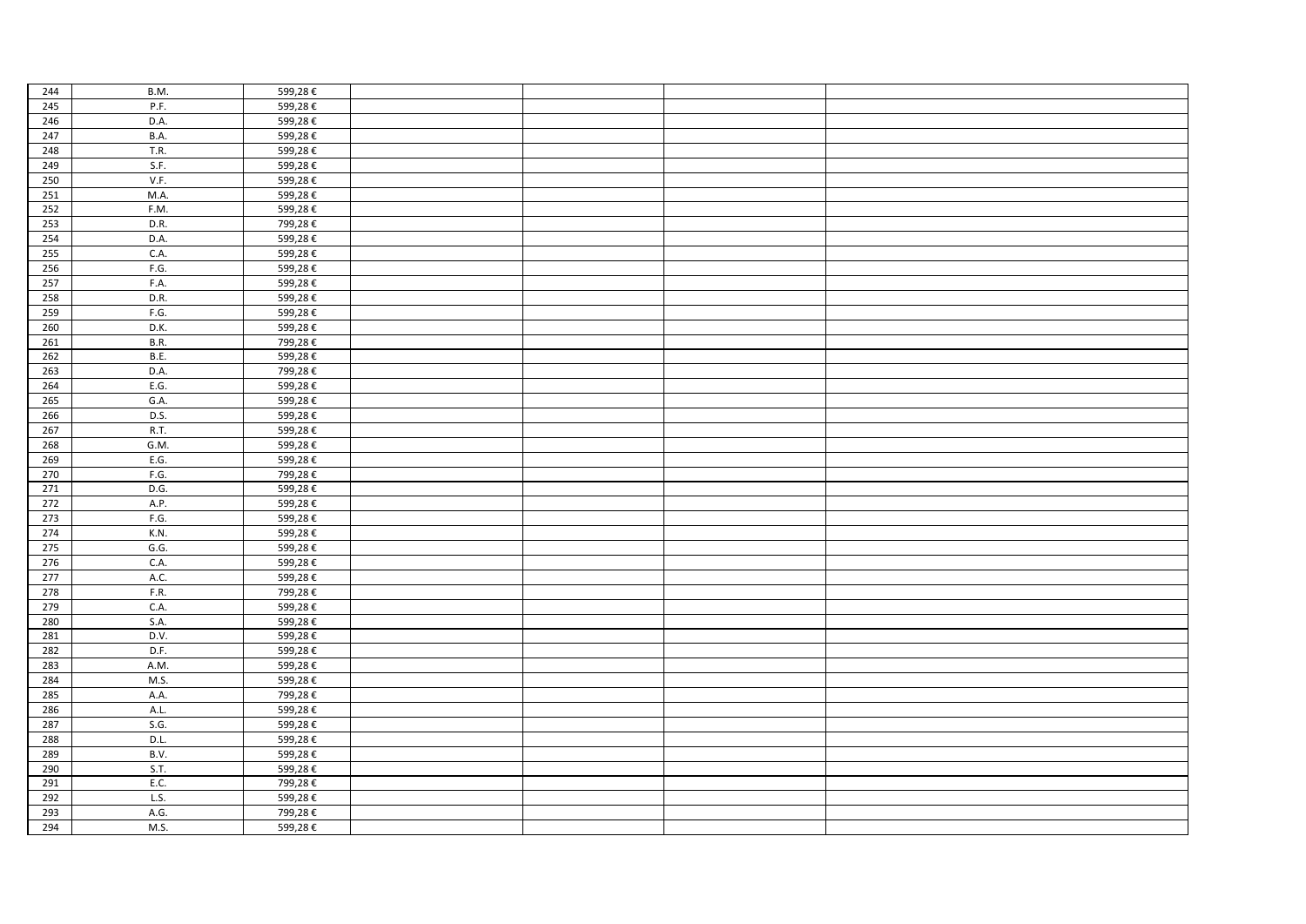| 244 | B.M.        | 599,28€ |  |  |
|-----|-------------|---------|--|--|
| 245 | P.F.        | 599,28€ |  |  |
| 246 | D.A.        | 599,28€ |  |  |
| 247 | <b>B.A.</b> | 599,28€ |  |  |
| 248 | T.R.        | 599,28€ |  |  |
| 249 | S.F.        | 599,28€ |  |  |
| 250 | V.F.        | 599,28€ |  |  |
| 251 | M.A.        | 599,28€ |  |  |
| 252 | F.M.        | 599,28€ |  |  |
| 253 | D.R.        | 799,28€ |  |  |
| 254 | D.A.        | 599,28€ |  |  |
| 255 | C.A.        | 599,28€ |  |  |
| 256 | F.G.        | 599,28€ |  |  |
| 257 | F.A.        | 599,28€ |  |  |
| 258 | D.R.        | 599,28€ |  |  |
| 259 | F.G.        | 599,28€ |  |  |
| 260 | D.K.        | 599,28€ |  |  |
| 261 | <b>B.R.</b> | 799,28€ |  |  |
| 262 | B.E.        | 599,28€ |  |  |
| 263 | D.A.        | 799,28€ |  |  |
| 264 | E.G.        | 599,28€ |  |  |
| 265 | G.A.        | 599,28€ |  |  |
| 266 | D.S.        | 599,28€ |  |  |
| 267 | <b>R.T.</b> | 599,28€ |  |  |
| 268 | G.M.        | 599,28€ |  |  |
| 269 | E.G.        | 599,28€ |  |  |
| 270 | F.G.        | 799,28€ |  |  |
| 271 | D.G.        | 599,28€ |  |  |
| 272 | A.P.        | 599,28€ |  |  |
| 273 | F.G.        | 599,28€ |  |  |
| 274 | K.N.        | 599,28€ |  |  |
| 275 | G.G.        | 599,28€ |  |  |
| 276 | C.A.        | 599,28€ |  |  |
| 277 | A.C.        | 599,28€ |  |  |
| 278 | F.R.        | 799,28€ |  |  |
| 279 | C.A.        | 599,28€ |  |  |
| 280 | S.A.        | 599,28€ |  |  |
| 281 | D.V.        | 599,28€ |  |  |
| 282 | D.F.        | 599,28€ |  |  |
| 283 | A.M.        | 599,28€ |  |  |
| 284 | M.S.        | 599,28€ |  |  |
| 285 | A.A.        | 799,28€ |  |  |
| 286 | A.L.        | 599,28€ |  |  |
| 287 | S.G.        | 599,28€ |  |  |
| 288 | D.L.        | 599,28€ |  |  |
| 289 | B.V.        | 599,28€ |  |  |
| 290 | S.T.        | 599,28€ |  |  |
| 291 | E.C.        | 799,28€ |  |  |
| 292 | L.S.        | 599,28€ |  |  |
| 293 | A.G.        | 799,28€ |  |  |
| 294 | M.S.        | 599,28€ |  |  |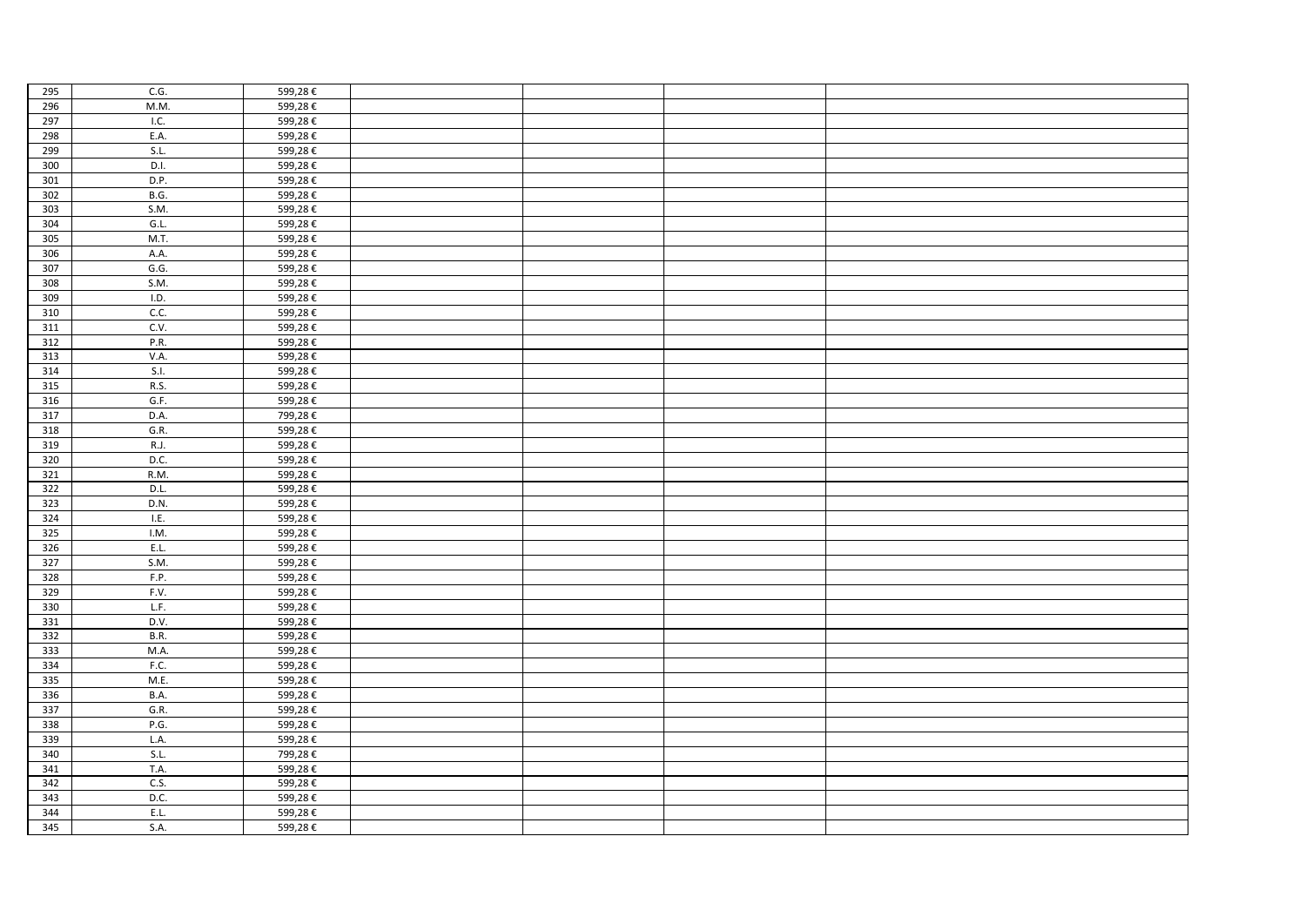| 295 | C.G.        | 599,28€ |  |  |
|-----|-------------|---------|--|--|
| 296 | M.M.        | 599,28€ |  |  |
| 297 | I.C.        | 599,28€ |  |  |
| 298 | E.A.        | 599,28€ |  |  |
| 299 | SL          | 599,28€ |  |  |
| 300 | D.I.        | 599,28€ |  |  |
| 301 | D.P.        | 599,28€ |  |  |
| 302 | <b>B.G.</b> | 599,28€ |  |  |
| 303 | S.M.        | 599,28€ |  |  |
| 304 | G.L.        | 599,28€ |  |  |
| 305 | M.T.        | 599,28€ |  |  |
| 306 | A.A.        | 599,28€ |  |  |
| 307 | G.G.        | 599,28€ |  |  |
| 308 | S.M.        | 599,28€ |  |  |
| 309 | I.D.        | 599,28€ |  |  |
| 310 | C.C.        | 599,28€ |  |  |
| 311 | C.V.        | 599,28€ |  |  |
| 312 | P.R.        | 599,28€ |  |  |
| 313 | V.A.        | 599,28€ |  |  |
| 314 | S.I.        | 599,28€ |  |  |
| 315 | R.S.        | 599,28€ |  |  |
| 316 | G.F.        | 599,28€ |  |  |
| 317 | D.A.        | 799,28€ |  |  |
| 318 | G.R.        | 599,28€ |  |  |
| 319 | R.J.        | 599,28€ |  |  |
| 320 | D.C.        | 599,28€ |  |  |
| 321 | R.M.        | 599,28€ |  |  |
| 322 | D.L.        | 599,28€ |  |  |
| 323 | D.N.        | 599,28€ |  |  |
| 324 | LE.         | 599,28€ |  |  |
| 325 | I.M.        | 599,28€ |  |  |
| 326 | E.L.        | 599,28€ |  |  |
| 327 | S.M.        | 599,28€ |  |  |
| 328 | F.P.        | 599,28€ |  |  |
| 329 | F.V.        | 599,28€ |  |  |
| 330 | LF.         | 599,28€ |  |  |
| 331 | D.V.        | 599,28€ |  |  |
| 332 | B.R.        | 599,28€ |  |  |
| 333 | M.A.        | 599,28€ |  |  |
| 334 | F.C.        | 599,28€ |  |  |
| 335 | M.E.        | 599,28€ |  |  |
| 336 | B.A.        | 599,28€ |  |  |
| 337 | G.R.        | 599,28€ |  |  |
| 338 | P.G.        | 599,28€ |  |  |
| 339 | L.A.        | 599,28€ |  |  |
| 340 | S.L.        | 799,28€ |  |  |
| 341 | T.A.        | 599,28€ |  |  |
| 342 | C.S.        | 599,28€ |  |  |
| 343 | D.C.        | 599,28€ |  |  |
| 344 | E.L.        | 599,28€ |  |  |
| 345 | S.A.        | 599,28€ |  |  |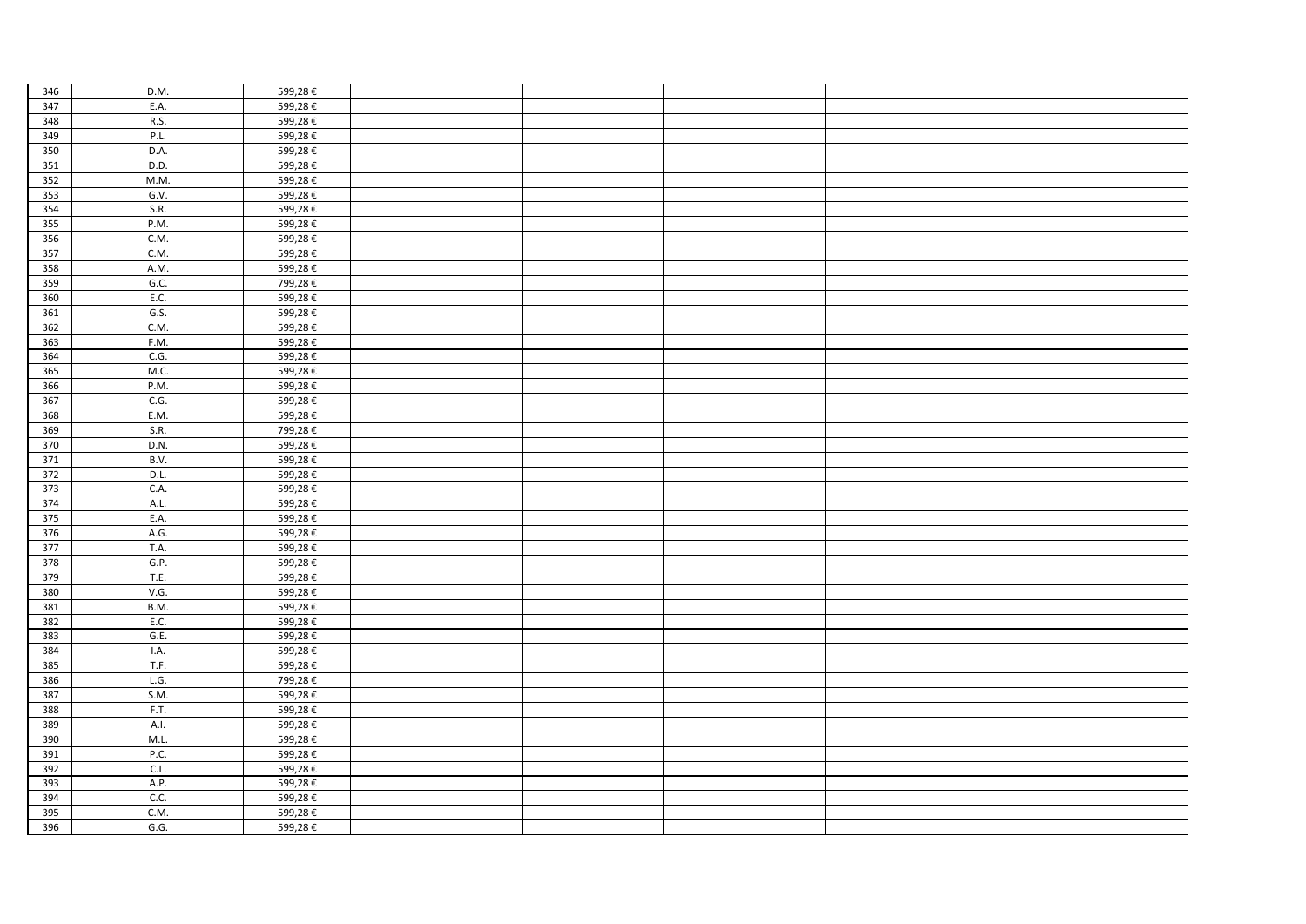| 346 | D.M. | 599,28€ |  |  |
|-----|------|---------|--|--|
| 347 | E.A. | 599,28€ |  |  |
| 348 | R.S. | 599,28€ |  |  |
| 349 | P.L. | 599,28€ |  |  |
| 350 | D.A. | 599,28€ |  |  |
| 351 | D.D. | 599,28€ |  |  |
| 352 | M.M. | 599,28€ |  |  |
| 353 | G.V. | 599,28€ |  |  |
| 354 | S.R. | 599,28€ |  |  |
| 355 | P.M. | 599,28€ |  |  |
| 356 | C.M. | 599,28€ |  |  |
| 357 | C.M. | 599,28€ |  |  |
| 358 | A.M. | 599,28€ |  |  |
| 359 | G.C. | 799,28€ |  |  |
| 360 | E.C. | 599,28€ |  |  |
| 361 | G.S. | 599,28€ |  |  |
| 362 | C.M. | 599,28€ |  |  |
| 363 | F.M. | 599,28€ |  |  |
| 364 | C.G. | 599,28€ |  |  |
| 365 | M.C. | 599,28€ |  |  |
| 366 | P.M. | 599,28€ |  |  |
| 367 | C.G. | 599,28€ |  |  |
| 368 | E.M. | 599,28€ |  |  |
| 369 | S.R. | 799,28€ |  |  |
| 370 | D.N. | 599,28€ |  |  |
| 371 | B.V. | 599,28€ |  |  |
| 372 | D.L. | 599,28€ |  |  |
| 373 | C.A. | 599,28€ |  |  |
| 374 | A.L. | 599,28€ |  |  |
| 375 | E.A. | 599,28€ |  |  |
| 376 | A.G. | 599,28€ |  |  |
| 377 | T.A. | 599,28€ |  |  |
| 378 | G.P. | 599,28€ |  |  |
| 379 | T.E. | 599,28€ |  |  |
| 380 | V.G. | 599,28€ |  |  |
| 381 | B.M. | 599,28€ |  |  |
| 382 | E.C. | 599,28€ |  |  |
| 383 | G.E. | 599,28€ |  |  |
| 384 | I.A. | 599,28€ |  |  |
| 385 | T.F. | 599,28€ |  |  |
| 386 | L.G. | 799,28€ |  |  |
| 387 | S.M. | 599,28€ |  |  |
| 388 | F.T. | 599,28€ |  |  |
| 389 | A.I. | 599,28€ |  |  |
| 390 | M.L. | 599,28€ |  |  |
| 391 | P.C. | 599,28€ |  |  |
| 392 | C.L. | 599,28€ |  |  |
| 393 | A.P. | 599,28€ |  |  |
| 394 | C.C. | 599,28€ |  |  |
| 395 | C.M. | 599,28€ |  |  |
| 396 | G.G. | 599,28€ |  |  |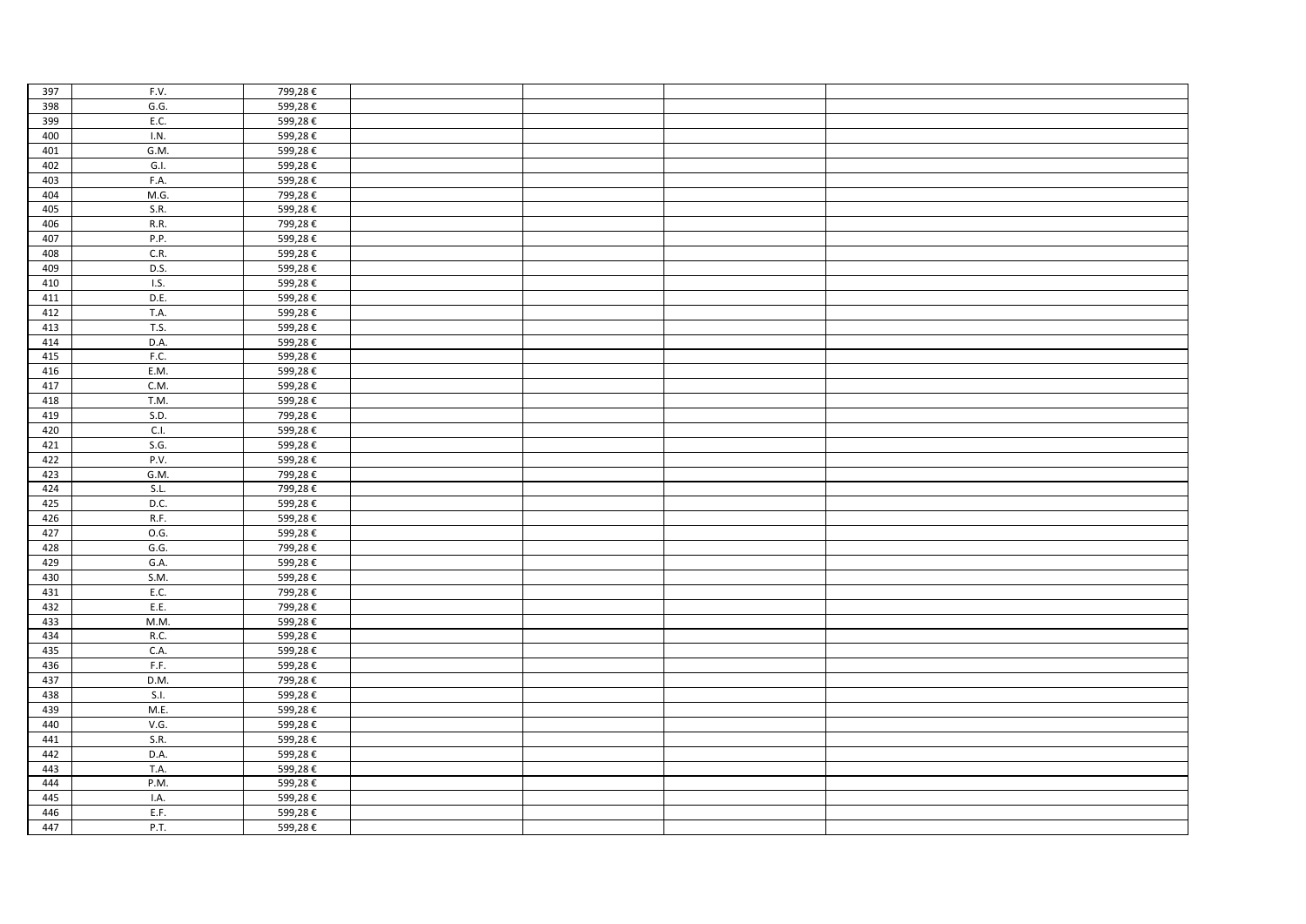| 397 | F.V.               | 799,28€ |  |  |
|-----|--------------------|---------|--|--|
| 398 | G.G.               | 599,28€ |  |  |
| 399 | E.C.               | 599,28€ |  |  |
| 400 | I.N.               | 599,28€ |  |  |
| 401 | G.M.               | 599,28€ |  |  |
| 402 | G.I.               | 599,28€ |  |  |
| 403 | F.A.               | 599,28€ |  |  |
| 404 | M.G.               | 799,28€ |  |  |
| 405 | S.R.               | 599,28€ |  |  |
| 406 | R.R.               | 799,28€ |  |  |
| 407 | P.P.               | 599,28€ |  |  |
| 408 | C.R.               | 599,28€ |  |  |
| 409 | D.S.               | 599,28€ |  |  |
| 410 | $\overline{1.5}$ . | 599,28€ |  |  |
| 411 | D.E.               | 599,28€ |  |  |
| 412 | T.A.               | 599,28€ |  |  |
| 413 | T.S.               | 599,28€ |  |  |
| 414 | D.A.               | 599,28€ |  |  |
| 415 | F.C.               | 599,28€ |  |  |
| 416 | E.M.               | 599,28€ |  |  |
| 417 | C.M.               | 599,28€ |  |  |
| 418 | T.M.               | 599,28€ |  |  |
| 419 | S.D.               | 799,28€ |  |  |
| 420 | C.I.               | 599,28€ |  |  |
| 421 | S.G.               | 599,28€ |  |  |
| 422 | P.V.               | 599,28€ |  |  |
| 423 | G.M.               | 799,28€ |  |  |
| 424 | S.L.               | 799,28€ |  |  |
| 425 | D.C.               | 599,28€ |  |  |
| 426 | R.F.               | 599,28€ |  |  |
| 427 | 0.G.               | 599,28€ |  |  |
| 428 | G.G.               | 799,28€ |  |  |
| 429 | G.A.               | 599,28€ |  |  |
| 430 | S.M.               | 599,28€ |  |  |
| 431 | E.C.               | 799,28€ |  |  |
| 432 | E.E.               | 799,28€ |  |  |
| 433 | M.M.               | 599,28€ |  |  |
| 434 | R.C.               | 599,28€ |  |  |
| 435 | C.A.               | 599,28€ |  |  |
| 436 | F.F.               | 599,28€ |  |  |
| 437 | D.M.               | 799,28€ |  |  |
| 438 | S.I.               | 599,28€ |  |  |
| 439 | M.E.               | 599,28€ |  |  |
| 440 | V.G.               | 599,28€ |  |  |
| 441 | S.R.               | 599,28€ |  |  |
| 442 | D.A.               | 599,28€ |  |  |
| 443 | T.A.               | 599,28€ |  |  |
| 444 | P.M.               | 599,28€ |  |  |
| 445 | I.A.               | 599,28€ |  |  |
| 446 | E.F.               | 599,28€ |  |  |
| 447 | P.T.               | 599,28€ |  |  |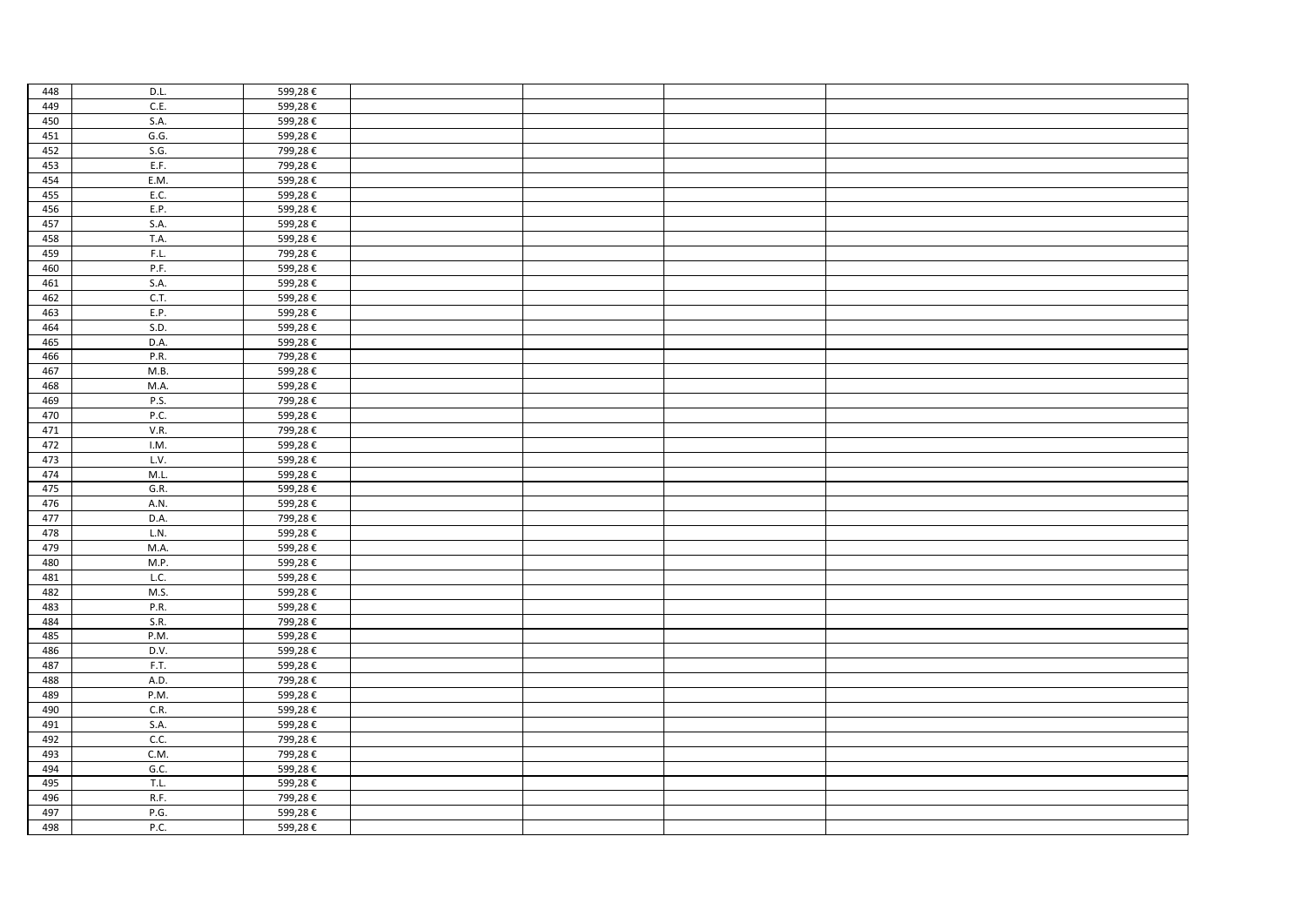| 448 | D.L. | 599,28€ |  |  |
|-----|------|---------|--|--|
| 449 | C.E. | 599,28€ |  |  |
| 450 | S.A. | 599,28€ |  |  |
| 451 | G.G. | 599,28€ |  |  |
| 452 | S.G. | 799,28€ |  |  |
| 453 | E.F. | 799,28€ |  |  |
| 454 | E.M. | 599,28€ |  |  |
| 455 | E.C. | 599,28€ |  |  |
| 456 | E.P. | 599,28€ |  |  |
| 457 | S.A. | 599,28€ |  |  |
| 458 | T.A. | 599,28€ |  |  |
| 459 | F.L. | 799,28€ |  |  |
| 460 | P.F. | 599,28€ |  |  |
| 461 | S.A. | 599,28€ |  |  |
| 462 | C.T. | 599,28€ |  |  |
| 463 | E.P. | 599,28€ |  |  |
| 464 | S.D. | 599,28€ |  |  |
| 465 | D.A. | 599,28€ |  |  |
| 466 | P.R. | 799,28€ |  |  |
| 467 | M.B. | 599,28€ |  |  |
| 468 | M.A. | 599,28€ |  |  |
| 469 | P.S. | 799,28€ |  |  |
| 470 | P.C. | 599,28€ |  |  |
| 471 | V.R. | 799,28€ |  |  |
| 472 | I.M. | 599,28€ |  |  |
| 473 | L.V. | 599,28€ |  |  |
| 474 | M.L. | 599,28€ |  |  |
| 475 | G.R. | 599,28€ |  |  |
| 476 | A.N. | 599,28€ |  |  |
| 477 | D.A. | 799,28€ |  |  |
| 478 | L.N. | 599,28€ |  |  |
| 479 | M.A. | 599,28€ |  |  |
| 480 | M.P. | 599,28€ |  |  |
| 481 | L.C. | 599,28€ |  |  |
| 482 | M.S. | 599,28€ |  |  |
| 483 | P.R. | 599,28€ |  |  |
| 484 | S.R. | 799,28€ |  |  |
| 485 | P.M. | 599,28€ |  |  |
| 486 | D.V. | 599,28€ |  |  |
| 487 | F.T. | 599,28€ |  |  |
| 488 | A.D. | 799,28€ |  |  |
| 489 | P.M. | 599,28€ |  |  |
| 490 | C.R. | 599,28€ |  |  |
| 491 | S.A. | 599,28€ |  |  |
| 492 | C.C. | 799,28€ |  |  |
| 493 | C.M. | 799,28€ |  |  |
| 494 | G.C. | 599,28€ |  |  |
| 495 | T.L. | 599,28€ |  |  |
| 496 | R.F. | 799,28€ |  |  |
| 497 | P.G. | 599,28€ |  |  |
| 498 | P.C. | 599,28€ |  |  |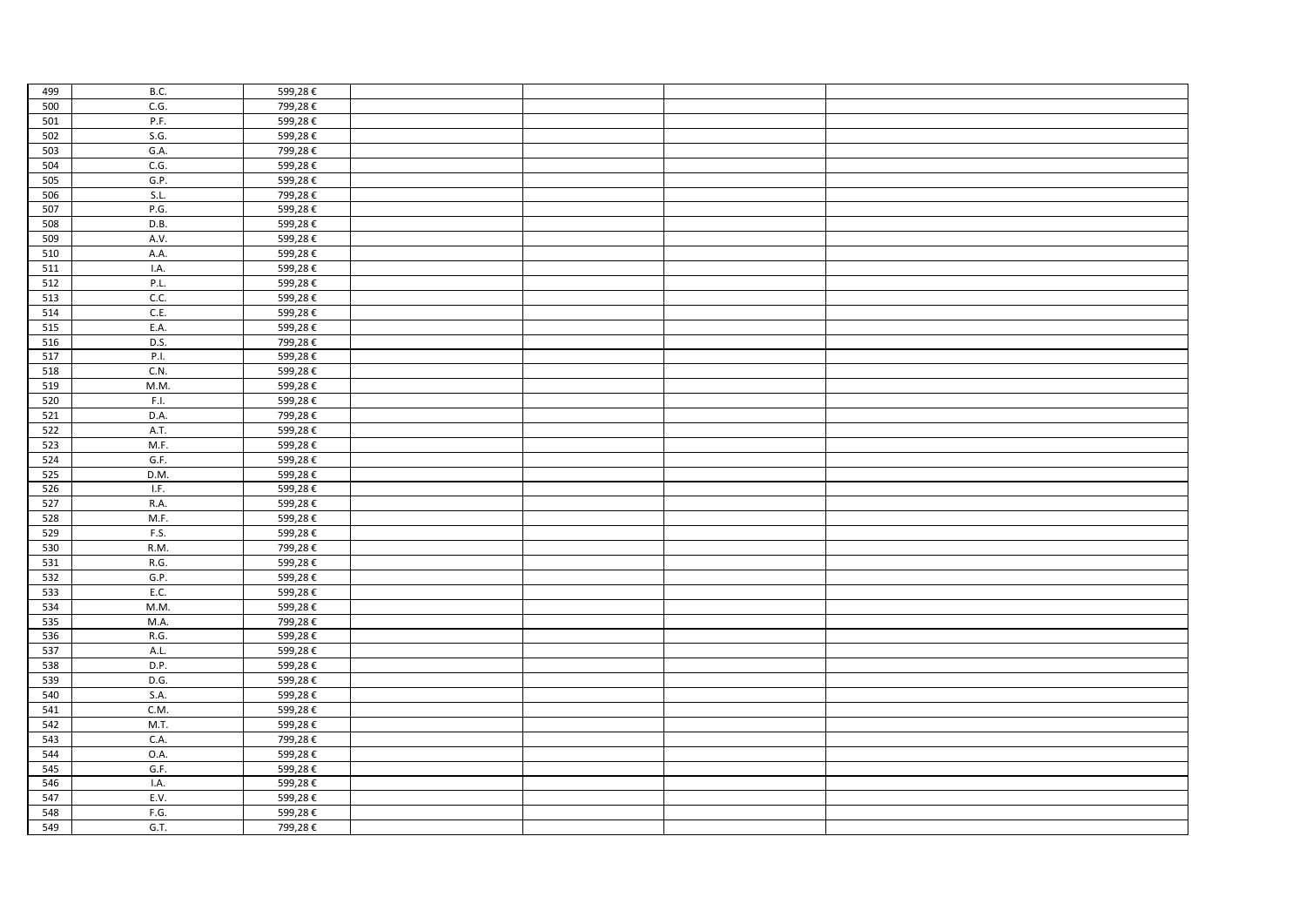| 499        | B.C.         | 599,28€            |  |  |
|------------|--------------|--------------------|--|--|
| 500        | C.G.         | 799,28€            |  |  |
| 501        | P.F.         | 599,28€            |  |  |
| 502        | S.G.         | 599,28€            |  |  |
| 503        | G.A.         | 799,28€            |  |  |
| 504        | C.G.         | 599,28€            |  |  |
| 505        | G.P.         | 599,28€            |  |  |
| 506        | S.L.         | 799,28€            |  |  |
| 507        | P.G.         | 599,28€            |  |  |
| 508        | D.B.         | 599,28€            |  |  |
| 509        | A.V.         | 599,28€            |  |  |
| 510        | A.A.         | 599,28€            |  |  |
| 511        | I.A.         | 599,28€            |  |  |
| 512        | P.L.         | 599,28€            |  |  |
| 513        | C.C.         | 599,28€            |  |  |
| 514        | C.E.         | 599,28€            |  |  |
| 515        | E.A.         | 599,28€            |  |  |
| 516        | D.S.         | 799,28€            |  |  |
| 517        | P.I.         | 599,28€            |  |  |
| 518        | C.N.         | 599,28€            |  |  |
| 519        | M.M.         | 599,28€            |  |  |
| 520        | F.I.         | 599,28€            |  |  |
| 521        | D.A.         | 799,28€            |  |  |
| 522        | A.T.         | 599,28€            |  |  |
| 523        | M.F.         | 599,28€            |  |  |
| 524        | G.F.         | 599,28€            |  |  |
| 525        | D.M.         | 599,28€            |  |  |
| 526        | I.F.         | 599,28€            |  |  |
| 527        | R.A.         | 599,28€            |  |  |
| 528        | M.F.         | 599,28€            |  |  |
| 529        | F.S.         | 599,28€            |  |  |
| 530        | R.M.<br>R.G. | 799,28€            |  |  |
| 531        | G.P.         | 599,28€            |  |  |
| 532        | E.C.         | 599,28€<br>599,28€ |  |  |
| 533<br>534 | M.M.         | 599,28€            |  |  |
| 535        | M.A.         | 799,28€            |  |  |
| 536        | R.G.         | 599,28€            |  |  |
| 537        | A.L.         | 599,28€            |  |  |
| 538        | D.P.         | 599,28€            |  |  |
| 539        | D.G.         | 599,28€            |  |  |
| 540        | S.A.         | 599,28€            |  |  |
| 541        | C.M.         | 599,28€            |  |  |
| 542        | M.T.         | 599,28€            |  |  |
| 543        | C.A.         | 799,28€            |  |  |
| 544        | 0.A.         | 599,28€            |  |  |
| 545        | G.F.         | 599,28€            |  |  |
| 546        | I.A.         | 599,28€            |  |  |
| 547        | E.V.         | 599,28€            |  |  |
| 548        | F.G.         | 599,28€            |  |  |
| 549        | G.T.         | 799,28€            |  |  |
|            |              |                    |  |  |